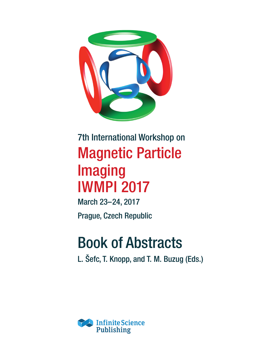

## 7th International Workshop on Magnetic Particle Imaging IWMPI 2017

March 23–24, 2017 Prague, Czech Republic

# Book of Abstracts

L. Šefc, T. Knopp, and T. M. Buzug (Eds.)

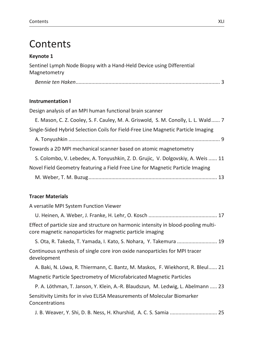### Contents

#### **Keynote 1**

Sentinel Lymph Node Biopsy with a Hand-Held Device using Differential Magnetometry

|--|--|

#### **Instrumentation I**

Design analysis of an MPI human functional brain scanner

| E. Mason, C. Z. Cooley, S. F. Cauley, M. A. Griswold, S. M. Conolly, L. L. Wald 7 |  |
|-----------------------------------------------------------------------------------|--|
| Single-Sided Hybrid Selection Coils for Field-Free Line Magnetic Particle Imaging |  |
|                                                                                   |  |
| Towards a 2D MPI mechanical scanner based on atomic magnetometry                  |  |
| S. Colombo, V. Lebedev, A. Tonyushkin, Z. D. Grujic, V. Dolgovskiy, A. Weis  11   |  |
| Novel Field Geometry featuring a Field Free Line for Magnetic Particle Imaging    |  |
|                                                                                   |  |
|                                                                                   |  |

#### **Tracer Materials**

| A versatile MPI System Function Viewer                                                                                                           |
|--------------------------------------------------------------------------------------------------------------------------------------------------|
|                                                                                                                                                  |
| Effect of particle size and structure on harmonic intensity in blood-pooling multi-<br>core magnetic nanoparticles for magnetic particle imaging |
| S. Ota, R. Takeda, T. Yamada, I. Kato, S. Nohara, Y. Takemura  19                                                                                |
| Continuous synthesis of single core iron oxide nanoparticles for MPI tracer<br>development                                                       |
| A. Baki, N. Löwa, R. Thiermann, C. Bantz, M. Maskos, F. Wiekhorst, R. Bleul 21                                                                   |
| Magnetic Particle Spectrometry of Microfabricated Magnetic Particles                                                                             |
| P. A. Löthman, T. Janson, Y. Klein, A.-R. Blaudszun, M. Ledwig, L. Abelmann  23                                                                  |
|                                                                                                                                                  |

Sensitivity Limits for in vivo ELISA Measurements of Molecular Biomarker Concentrations

J. B. Weaver, Y. Shi, D. B. Ness, H. Khurshid, A. C. S. Samia ................................. 25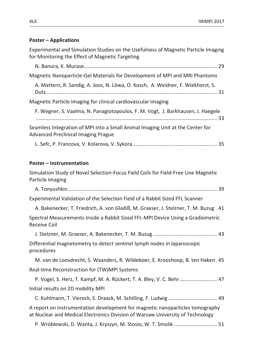#### **Poster – Applications**

Experimental and Simulation Studies on the Usefulness of Magnetic Particle Imaging for Monitoring the Effect of Magnetic Targeting

| Magnetic Nanoparticle-Gel Materials for Development of MPI and MRI Phantoms                                                                                     |
|-----------------------------------------------------------------------------------------------------------------------------------------------------------------|
| A. Mattern, R. Sandig, A. Joos, N. Löwa, O. Kosch, A. Weidner, F. Wiekhorst, S.                                                                                 |
| Magnetic Particle Imaging for clinical cardiovascular imaging                                                                                                   |
| F. Wegner, S. Vaalma, N. Panagiotopoulos, F. M. Vogt, J. Barkhausen, J. Haegele                                                                                 |
| Seamless Integration of MPI into a Small Animal Imaging Unit at the Center for<br><b>Advanced Preclinical Imaging Prague</b>                                    |
|                                                                                                                                                                 |
| <b>Poster - Instrumentation</b>                                                                                                                                 |
| Simulation Study of Novel Selection-Focus Field Coils for Field-Free Line Magnetic<br>Particle Imaging                                                          |
|                                                                                                                                                                 |
| Experimental Validation of the Selection Field of a Rabbit Sized FFL Scanner                                                                                    |
| A. Bakenecker, T. Friedrich, A. von Gladiß, M. Graeser, J. Stelzner, T. M. Buzug. 41                                                                            |
| Spectral Measurements Inside a Rabbit Sized FFL-MPI Device Using a Gradiometric<br><b>Receive Coil</b>                                                          |
|                                                                                                                                                                 |
| Differential magnetometry to detect sentinel lymph nodes in laparoscopic<br>procedures                                                                          |
| M. van de Loosdrecht, S. Waanders, R. Wildeboer, E. Krooshoop, B. ten Haken. 45                                                                                 |
| Real-time Reconstruction for (TW)MPI Systems                                                                                                                    |
| P. Vogel, S. Herz, T. Kampf, M. A. Rückert, T. A. Bley, V. C. Behr  47                                                                                          |
| Initial results on 2D mobility MPI                                                                                                                              |
| C. Kuhlmann, T. Viereck, S. Draack, M. Schilling, F. Ludwig  49                                                                                                 |
| A report on instrumentation development for magnetic nanoparticles tomography<br>at Nuclear and Medical Electronics Division of Warsaw University of Technology |
| P. Wróblewski, D. Wanta, J. Kryszyn, M. Stosio, W. T. Smolik  51                                                                                                |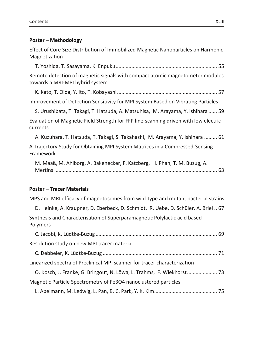#### **Poster – Methodology**

Effect of Core Size Distribution of Immobilized Magnetic Nanoparticles on Harmonic Magnetization

T. Yoshida, T. Sasayama, K. Enpuku....................................................................... 55

Remote detection of magnetic signals with compact atomic magnetometer modules towards a MRI-MPI hybrid system

K. Kato, T. Oida, Y. Ito, T. Kobayashi...................................................................... 57

Improvement of Detection Sensitivity for MPI System Based on Vibrating Particles

S. Urushibata, T. Takagi, T. Hatsuda, A. Matsuhisa, M. Arayama, Y. Ishihara ...... 59

Evaluation of Magnetic Field Strength for FFP line-scanning driven with low electric currents

A. Kuzuhara, T. Hatsuda, T. Takagi, S. Takahashi, M. Arayama, Y. Ishihara ......... 61

A Trajectory Study for Obtaining MPI System Matrices in a Compressed-Sensing Framework

M. Maaß, M. Ahlborg, A. Bakenecker, F. Katzberg, H. Phan, T. M. Buzug, A. Mertins.................................................................................................................. 63

#### **Poster – Tracer Materials**

MPS and MRI efficacy of magnetosomes from wild-type and mutant bacterial strains

D. Heinke, A. Kraupner, D. Eberbeck, D. Schmidt, R. Uebe, D. Schüler, A. Briel .. 67 Synthesis and Characterisation of Superparamagnetic Polylactic acid based Polymers

| Resolution study on new MPI tracer material                               |  |
|---------------------------------------------------------------------------|--|
|                                                                           |  |
| Linearized spectra of Preclinical MPI scanner for tracer characterization |  |
| O. Kosch, J. Franke, G. Bringout, N. Löwa, L. Trahms, F. Wiekhorst 73     |  |
| Magnetic Particle Spectrometry of Fe3O4 nanoclustered particles           |  |
|                                                                           |  |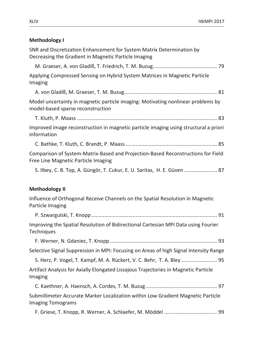#### **Methodology I**

SNR and Discretization Enhancement for System Matrix Determination by Decreasing the Gradient in Magnetic Particle Imaging

M. Graeser, A. von Gladiß, T. Friedrich, T. M. Buzug............................................. 79

Applying Compressed Sensing on Hybrid System Matrices in Magnetic Particle Imaging

A. von Gladiß, M. Graeser, T. M. Buzug................................................................. 81

Model uncertainty in magnetic particle imaging: Motivating nonlinear problems by model-based sparse reconstruction

T. Kluth, P. Maass .................................................................................................. 83

Improved image reconstruction in magnetic particle imaging using structural a priori information

C. Bathke, T. Kluth, C. Brandt, P. Maass................................................................ 85

Comparison of System-Matrix-Based and Projection-Based Reconstructions for Field Free Line Magnetic Particle Imaging

S. Ilbey, C. B. Top, A. Güngör, T. Cukur, E. U. Saritas, H. E. Güven ....................... 87

#### **Methodology II**

Influence of Orthogonal Receive Channels on the Spatial Resolution in Magnetic Particle Imaging

P. Szwargulski, T. Knopp ........................................................................................ 91 Improving the Spatial Resolution of Bidirectional Cartesian MPI Data using Fourier **Techniques** 

F. Werner, N. Gdaniec, T. Knopp ........................................................................... 93

Selective Signal Suppression in MPI: Focusing on Areas of high Signal Intensity Range

S. Herz, P. Vogel, T. Kampf, M. A. Rückert, V. C. Behr, T. A. Bley ......................... 95 Artifact Analysis for Axially Elongated Lissajous Trajectories in Magnetic Particle

Imaging

C. Kaethner, A. Haensch, A. Cordes, T. M. Buzug.................................................. 97

Submillimeter Accurate Marker Localization within Low Gradient Magnetic Particle Imaging Tomograms

F. Griese, T. Knopp, R. Werner, A. Schlaefer, M. Möddel ..................................... 99